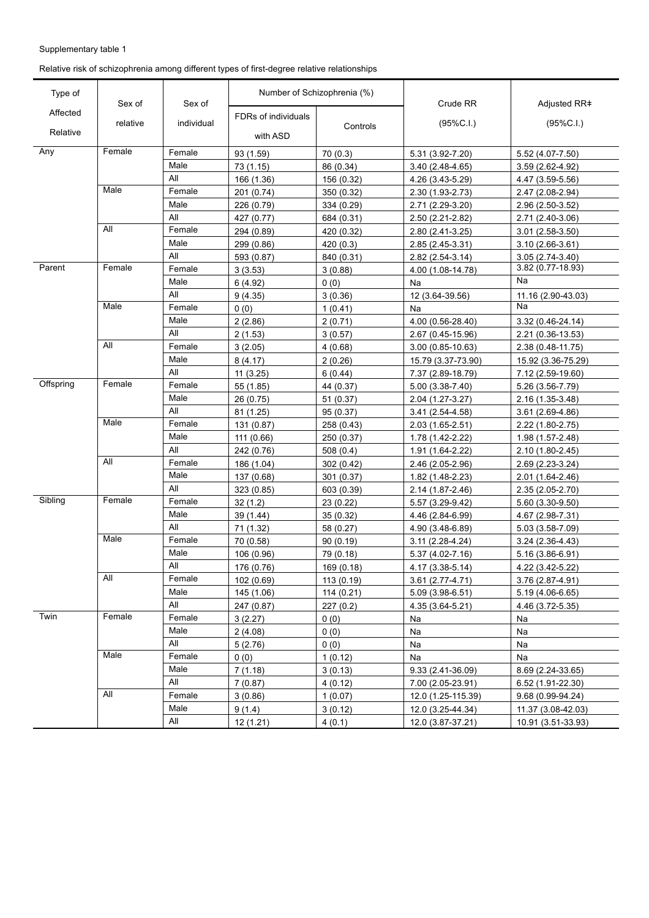Relative risk of schizophrenia among different types of first-degree relative relationships

| Type of   | Sex of   | Sex of     |                     | Number of Schizophrenia (%) | Crude RR            | Adjusted RR#        |
|-----------|----------|------------|---------------------|-----------------------------|---------------------|---------------------|
| Affected  |          |            | FDRs of individuals |                             |                     |                     |
| Relative  | relative | individual | with ASD            | Controls                    | (95%C.1.)           | $(95\%C.I.)$        |
| Any       | Female   | Female     | 93 (1.59)           | 70(0.3)                     | 5.31 (3.92-7.20)    | 5.52 (4.07-7.50)    |
|           |          | Male       | 73 (1.15)           | 86 (0.34)                   | 3.40 (2.48-4.65)    | $3.59(2.62 - 4.92)$ |
|           |          | All        | 166 (1.36)          | 156 (0.32)                  | 4.26 (3.43-5.29)    | 4.47 (3.59-5.56)    |
|           | Male     | Female     | 201 (0.74)          | 350 (0.32)                  | 2.30 (1.93-2.73)    | 2.47 (2.08-2.94)    |
|           |          | Male       | 226 (0.79)          | 334 (0.29)                  | 2.71 (2.29-3.20)    | 2.96 (2.50-3.52)    |
|           |          | All        | 427 (0.77)          | 684 (0.31)                  | 2.50 (2.21-2.82)    | 2.71 (2.40-3.06)    |
|           | All      | Female     | 294 (0.89)          | 420 (0.32)                  | 2.80 (2.41-3.25)    | $3.01(2.58-3.50)$   |
|           |          | Male       | 299 (0.86)          | 420 (0.3)                   | 2.85 (2.45-3.31)    | 3.10 (2.66-3.61)    |
|           |          | All        | 593 (0.87)          | 840 (0.31)                  | 2.82 (2.54-3.14)    | 3.05 (2.74-3.40)    |
| Parent    | Female   | Female     | 3(3.53)             | 3(0.88)                     | 4.00 (1.08-14.78)   | 3.82 (0.77-18.93)   |
|           |          | Male       | 6(4.92)             | 0(0)                        | Na                  | Na                  |
|           |          | All        | 9(4.35)             | 3(0.36)                     | 12 (3.64-39.56)     | 11.16 (2.90-43.03)  |
|           | Male     | Female     | 0(0)                | 1(0.41)                     | Na                  | Nа                  |
|           |          | Male       | 2(2.86)             | 2(0.71)                     | 4.00 (0.56-28.40)   | 3.32 (0.46-24.14)   |
|           |          | All        | 2(1.53)             | 3(0.57)                     | 2.67 (0.45-15.96)   | 2.21 (0.36-13.53)   |
|           | All      | Female     | 3(2.05)             | 4(0.68)                     | 3.00 (0.85-10.63)   | 2.38 (0.48-11.75)   |
|           |          | Male       | 8(4.17)             | 2(0.26)                     | 15.79 (3.37-73.90)  | 15.92 (3.36-75.29)  |
|           |          | All        | 11(3.25)            | 6(0.44)                     | 7.37 (2.89-18.79)   | 7.12 (2.59-19.60)   |
| Offspring | Female   | Female     | 55 (1.85)           | 44 (0.37)                   | $5.00(3.38-7.40)$   | 5.26 (3.56-7.79)    |
|           |          | Male       | 26 (0.75)           | 51(0.37)                    | 2.04 (1.27-3.27)    | 2.16 (1.35-3.48)    |
|           |          | All        | 81 (1.25)           | 95 (0.37)                   | 3.41 (2.54-4.58)    | $3.61(2.69-4.86)$   |
|           | Male     | Female     | 131 (0.87)          | 258 (0.43)                  | 2.03 (1.65-2.51)    | 2.22 (1.80-2.75)    |
|           |          | Male       | 111 (0.66)          | 250 (0.37)                  | 1.78 (1.42-2.22)    | 1.98 (1.57-2.48)    |
|           |          | All        | 242 (0.76)          | 508(0.4)                    | 1.91 (1.64-2.22)    | 2.10 (1.80-2.45)    |
|           | All      | Female     | 186 (1.04)          | 302 (0.42)                  | 2.46 (2.05-2.96)    | 2.69 (2.23-3.24)    |
|           |          | Male       | 137 (0.68)          | 301 (0.37)                  | 1.82 (1.48-2.23)    | 2.01 (1.64-2.46)    |
|           |          | All        | 323 (0.85)          | 603 (0.39)                  | 2.14 (1.87-2.46)    | 2.35 (2.05-2.70)    |
| Sibling   | Female   | Female     | 32(1.2)             | 23 (0.22)                   | 5.57 (3.29-9.42)    | 5.60 (3.30-9.50)    |
|           |          | Male       | 39 (1.44)           | 35(0.32)                    | 4.46 (2.84-6.99)    | 4.67 (2.98-7.31)    |
|           |          | All        | 71(1.32)            | 58 (0.27)                   | 4.90 (3.48-6.89)    | 5.03 (3.58-7.09)    |
|           | Male     | Female     | 70 (0.58)           | 90(0.19)                    | $3.11(2.28-4.24)$   | $3.24(2.36-4.43)$   |
|           |          | Male       | 106 (0.96)          | 79 (0.18)                   | $5.37(4.02 - 7.16)$ | 5.16 (3.86-6.91)    |
|           |          | All        | 176 (0.76)          | 169 (0.18)                  | 4.17 (3.38-5.14)    | 4.22 (3.42-5.22)    |
|           | All      | Female     | 102 (0.69)          | 113 (0.19)                  | 3.61 (2.77-4.71)    | 3.76 (2.87-4.91)    |
|           |          | Male       | 145 (1.06)          | 114 (0.21)                  | 5.09 (3.98-6.51)    | 5.19 (4.06-6.65)    |
|           |          | All        | 247 (0.87)          | 227(0.2)                    | 4.35 (3.64-5.21)    | 4.46 (3.72-5.35)    |
| Twin      | Female   | Female     | 3(2.27)             | 0(0)                        | Na                  | Na                  |
|           |          | Male       | 2(4.08)             | 0(0)                        | Na                  | Na                  |
|           |          | All        | 5(2.76)             | 0(0)                        | Na                  | Na                  |
|           | Male     | Female     | 0(0)                | 1(0.12)                     | Na                  | Na                  |
|           |          | Male       | 7(1.18)             | 3(0.13)                     | 9.33 (2.41-36.09)   | 8.69 (2.24-33.65)   |
|           |          | All        | 7(0.87)             | 4(0.12)                     | 7.00 (2.05-23.91)   | 6.52 (1.91-22.30)   |
|           | All      | Female     | 3(0.86)             | 1(0.07)                     | 12.0 (1.25-115.39)  | 9.68 (0.99-94.24)   |
|           |          | Male       | 9(1.4)              | 3(0.12)                     | 12.0 (3.25-44.34)   | 11.37 (3.08-42.03)  |
|           |          | All        | 12 (1.21)           | 4(0.1)                      | 12.0 (3.87-37.21)   | 10.91 (3.51-33.93)  |
|           |          |            |                     |                             |                     |                     |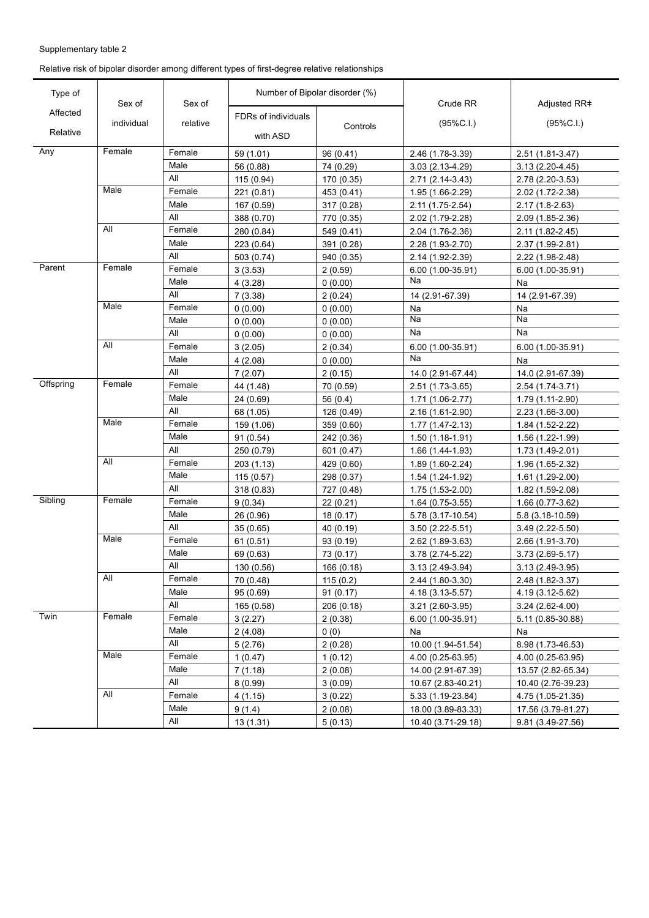Relative risk of bipolar disorder among different types of first-degree relative relationships

| Type of   | Sex of     | Sex of   | Number of Bipolar disorder (%) |            | Crude RR            | Adjusted RR#        |
|-----------|------------|----------|--------------------------------|------------|---------------------|---------------------|
| Affected  |            |          | FDRs of individuals            |            |                     |                     |
| Relative  | individual | relative | with ASD                       | Controls   | (95%C.1.)           | $(95\%C.I.)$        |
| Any       | Female     | Female   | 59 (1.01)                      | 96 (0.41)  | 2.46 (1.78-3.39)    | 2.51 (1.81-3.47)    |
|           |            | Male     | 56 (0.88)                      | 74 (0.29)  | $3.03(2.13-4.29)$   | $3.13(2.20-4.45)$   |
|           |            | All      | 115 (0.94)                     | 170 (0.35) | 2.71 (2.14-3.43)    | 2.78 (2.20-3.53)    |
|           | Male       | Female   | 221 (0.81)                     | 453 (0.41) | 1.95 (1.66-2.29)    | 2.02 (1.72-2.38)    |
|           |            | Male     | 167 (0.59)                     | 317 (0.28) | 2.11 (1.75-2.54)    | 2.17 (1.8-2.63)     |
|           |            | All      | 388 (0.70)                     | 770 (0.35) | 2.02 (1.79-2.28)    | 2.09 (1.85-2.36)    |
|           | All        | Female   | 280 (0.84)                     | 549 (0.41) | 2.04 (1.76-2.36)    | 2.11 (1.82-2.45)    |
|           |            | Male     | 223 (0.64)                     | 391 (0.28) | 2.28 (1.93-2.70)    | 2.37 (1.99-2.81)    |
|           |            | All      | 503 (0.74)                     | 940 (0.35) | 2.14 (1.92-2.39)    | 2.22 (1.98-2.48)    |
| Parent    | Female     | Female   | 3(3.53)                        | 2(0.59)    | 6.00 (1.00-35.91)   | 6.00 (1.00-35.91)   |
|           |            | Male     | 4(3.28)                        | 0(0.00)    | Na                  | Na                  |
|           |            | All      | 7(3.38)                        | 2(0.24)    | 14 (2.91-67.39)     | 14 (2.91-67.39)     |
|           | Male       | Female   | 0(0.00)                        | 0(0.00)    | Na                  | Na                  |
|           |            | Male     | 0(0.00)                        | 0(0.00)    | Na                  | Na                  |
|           |            | All      | 0(0.00)                        | 0(0.00)    | Na                  | Na                  |
|           | All        | Female   | 3(2.05)                        | 2(0.34)    | 6.00 (1.00-35.91)   | 6.00 (1.00-35.91)   |
|           |            | Male     | 4(2.08)                        | 0(0.00)    | Na                  | Na                  |
|           |            | All      | 7(2.07)                        | 2(0.15)    | 14.0 (2.91-67.44)   | 14.0 (2.91-67.39)   |
| Offspring | Female     | Female   | 44 (1.48)                      | 70 (0.59)  | 2.51 (1.73-3.65)    | 2.54 (1.74-3.71)    |
|           |            | Male     | 24 (0.69)                      | 56 $(0.4)$ | 1.71 (1.06-2.77)    | 1.79 (1.11-2.90)    |
|           |            | All      | 68 (1.05)                      | 126 (0.49) | 2.16 (1.61-2.90)    | 2.23 (1.66-3.00)    |
|           | Male       | Female   | 159 (1.06)                     | 359 (0.60) | $1.77(1.47 - 2.13)$ | 1.84 (1.52-2.22)    |
|           |            | Male     | 91(0.54)                       | 242 (0.36) | $1.50(1.18-1.91)$   | 1.56 (1.22-1.99)    |
|           |            | All      | 250 (0.79)                     | 601 (0.47) | 1.66 (1.44-1.93)    | 1.73 (1.49-2.01)    |
|           | All        | Female   | 203(1.13)                      | 429 (0.60) | 1.89 (1.60-2.24)    | 1.96 (1.65-2.32)    |
|           |            | Male     | 115(0.57)                      | 298 (0.37) | 1.54 (1.24-1.92)    | 1.61 (1.29-2.00)    |
|           |            | All      | 318 (0.83)                     | 727 (0.48) | 1.75 (1.53-2.00)    | 1.82 (1.59-2.08)    |
| Sibling   | Female     | Female   | 9(0.34)                        | 22 (0.21)  | 1.64 (0.75-3.55)    | 1.66 (0.77-3.62)    |
|           |            | Male     | 26 (0.96)                      | 18(0.17)   | 5.78 (3.17-10.54)   | 5.8 (3.18-10.59)    |
|           |            | All      | 35(0.65)                       | 40 (0.19)  | $3.50(2.22 - 5.51)$ | $3.49(2.22 - 5.50)$ |
|           | Male       | Female   | 61(0.51)                       | 93 (0.19)  | 2.62 (1.89-3.63)    | 2.66 (1.91-3.70)    |
|           |            | Male     | 69 (0.63)                      | 73 (0.17)  | 3.78 (2.74-5.22)    | $3.73(2.69-5.17)$   |
|           |            | All      | 130 (0.56)                     | 166 (0.18) | 3.13 (2.49-3.94)    | 3.13 (2.49-3.95)    |
|           | All        | Female   | 70 (0.48)                      | 115(0.2)   | 2.44 (1.80-3.30)    | 2.48 (1.82-3.37)    |
|           |            | Male     | 95(0.69)                       | 91(0.17)   | 4.18 (3.13-5.57)    | 4.19 (3.12-5.62)    |
|           |            | All      | 165 (0.58)                     | 206 (0.18) | $3.21(2.60-3.95)$   | $3.24(2.62 - 4.00)$ |
| Twin      | Female     | Female   | 3(2.27)                        | 2(0.38)    | 6.00 (1.00-35.91)   | 5.11 (0.85-30.88)   |
|           |            | Male     | 2(4.08)                        | 0(0)       | Na                  | Na                  |
|           |            | All      | 5(2.76)                        | 2(0.28)    | 10.00 (1.94-51.54)  | 8.98 (1.73-46.53)   |
|           | Male       | Female   | 1(0.47)                        | 1(0.12)    | 4.00 (0.25-63.95)   | 4.00 (0.25-63.95)   |
|           |            | Male     | 7(1.18)                        | 2(0.08)    | 14.00 (2.91-67.39)  | 13.57 (2.82-65.34)  |
|           |            | All      | 8(0.99)                        | 3(0.09)    | 10.67 (2.83-40.21)  | 10.40 (2.76-39.23)  |
|           | All        | Female   | 4(1.15)                        | 3(0.22)    | 5.33 (1.19-23.84)   | 4.75 (1.05-21.35)   |
|           |            | Male     | 9(1.4)                         | 2(0.08)    | 18.00 (3.89-83.33)  | 17.56 (3.79-81.27)  |
|           |            | All      |                                |            |                     |                     |
|           |            |          | 13 (1.31)                      | 5(0.13)    | 10.40 (3.71-29.18)  | 9.81 (3.49-27.56)   |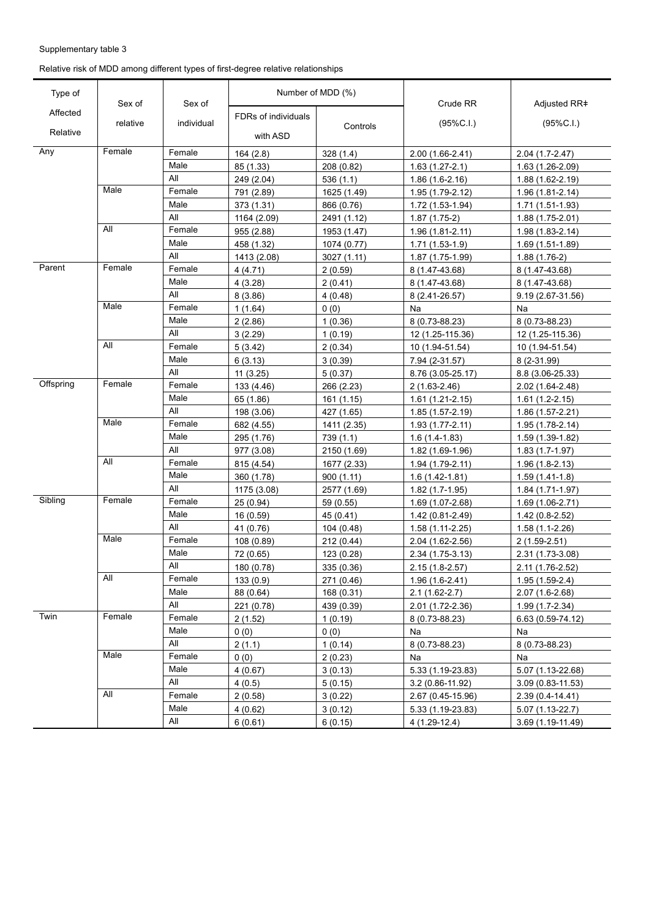Relative risk of MDD among different types of first-degree relative relationships

| Type of   | Sex of   | Sex of     | Number of MDD (%)   |             | Crude RR            | Adjusted RR#         |
|-----------|----------|------------|---------------------|-------------|---------------------|----------------------|
| Affected  |          |            | FDRs of individuals |             |                     |                      |
| Relative  | relative | individual | with ASD            | Controls    | (95%C.1.)           | (95%C.1.)            |
| Any       | Female   | Female     | 164 (2.8)           | 328(1.4)    | 2.00 (1.66-2.41)    | 2.04 (1.7-2.47)      |
|           |          | Male       | 85 (1.33)           | 208 (0.82)  | $1.63(1.27-2.1)$    | 1.63 (1.26-2.09)     |
|           |          | All        | 249 (2.04)          | 536 (1.1)   | $1.86(1.6-2.16)$    | 1.88 (1.62-2.19)     |
|           | Male     | Female     | 791 (2.89)          | 1625 (1.49) | 1.95 (1.79-2.12)    | 1.96 (1.81-2.14)     |
|           |          | Male       | 373 (1.31)          | 866 (0.76)  | 1.72 (1.53-1.94)    | 1.71 (1.51-1.93)     |
|           |          | All        | 1164 (2.09)         | 2491 (1.12) | $1.87(1.75-2)$      | 1.88 (1.75-2.01)     |
|           | All      | Female     | 955 (2.88)          | 1953 (1.47) | $1.96(1.81 - 2.11)$ | 1.98 (1.83-2.14)     |
|           |          | Male       | 458 (1.32)          | 1074 (0.77) | $1.71(1.53-1.9)$    | 1.69 (1.51-1.89)     |
|           |          | All        | 1413 (2.08)         | 3027 (1.11) | 1.87 (1.75-1.99)    | $1.88(1.76-2)$       |
| Parent    | Female   | Female     | 4(4.71)             | 2(0.59)     | 8 (1.47-43.68)      | 8 (1.47-43.68)       |
|           |          | Male       | 4(3.28)             | 2(0.41)     | 8 (1.47-43.68)      | 8 (1.47-43.68)       |
|           |          | All        | 8(3.86)             | 4(0.48)     | 8 (2.41-26.57)      | 9.19 (2.67-31.56)    |
|           | Male     | Female     | 1(1.64)             | 0(0)        | Na                  | Na                   |
|           |          | Male       | 2(2.86)             | 1(0.36)     | 8 (0.73-88.23)      | 8 (0.73-88.23)       |
|           |          | All        | 3(2.29)             | 1(0.19)     | 12 (1.25-115.36)    | 12 (1.25-115.36)     |
|           | All      | Female     | 5(3.42)             | 2(0.34)     | 10 (1.94-51.54)     | 10 (1.94-51.54)      |
|           |          | Male       | 6(3.13)             | 3(0.39)     | 7.94 (2-31.57)      | 8 (2-31.99)          |
|           |          | All        | 11(3.25)            | 5(0.37)     | 8.76 (3.05-25.17)   | 8.8 (3.06-25.33)     |
| Offspring | Female   | Female     | 133 (4.46)          | 266 (2.23)  | $2(1.63 - 2.46)$    | 2.02 (1.64-2.48)     |
|           |          | Male       | 65 (1.86)           | 161 (1.15)  | $1.61(1.21-2.15)$   | $1.61(1.2-2.15)$     |
|           |          | All        | 198 (3.06)          | 427 (1.65)  | 1.85 (1.57-2.19)    | 1.86 (1.57-2.21)     |
|           | Male     | Female     | 682 (4.55)          | 1411 (2.35) | $1.93(1.77-2.11)$   | 1.95 (1.78-2.14)     |
|           |          | Male       | 295 (1.76)          | 739 (1.1)   | $1.6(1.4-1.83)$     | 1.59 (1.39-1.82)     |
|           |          | All        | 977 (3.08)          | 2150 (1.69) | 1.82 (1.69-1.96)    | $1.83(1.7-1.97)$     |
|           | All      | Female     | 815 (4.54)          | 1677 (2.33) | $1.94(1.79-2.11)$   | $1.96(1.8-2.13)$     |
|           |          | Male       | 360 (1.78)          | 900(1.11)   | $1.6(1.42 - 1.81)$  | $1.59(1.41-1.8)$     |
|           |          | All        | 1175 (3.08)         | 2577 (1.69) | $1.82(1.7-1.95)$    | 1.84 (1.71-1.97)     |
| Sibling   | Female   | Female     | 25(0.94)            | 59 (0.55)   | 1.69 (1.07-2.68)    | 1.69 (1.06-2.71)     |
|           |          | Male       | 16 (0.59)           | 45 (0.41)   | 1.42 (0.81-2.49)    | $1.42(0.8-2.52)$     |
|           |          | All        | 41 (0.76)           | 104 (0.48)  | 1.58 (1.11-2.25)    | $1.58(1.1-2.26)$     |
|           | Male     | Female     | 108 (0.89)          | 212 (0.44)  | 2.04 (1.62-2.56)    | $2(1.59 - 2.51)$     |
|           |          | Male       | 72 (0.65)           | 123 (0.28)  | 2.34 (1.75-3.13)    | 2.31 (1.73-3.08)     |
|           |          | All        | 180 (0.78)          | 335 (0.36)  | $2.15(1.8-2.57)$    | 2.11 (1.76-2.52)     |
|           | All      | Female     | 133(0.9)            | 271 (0.46)  | $1.96(1.6-2.41)$    | $1.95(1.59-2.4)$     |
|           |          | Male       | 88 (0.64)           | 168 (0.31)  | $2.1(1.62-2.7)$     | 2.07 (1.6-2.68)      |
|           |          | All        | 221 (0.78)          | 439 (0.39)  | 2.01 (1.72-2.36)    | 1.99 (1.7-2.34)      |
| Twin      | Female   | Female     | 2(1.52)             | 1(0.19)     | 8 (0.73-88.23)      | $6.63(0.59-74.12)$   |
|           |          | Male       | 0(0)                | 0(0)        | Na                  | Na                   |
|           |          | All        | 2(1.1)              | 1(0.14)     | 8 (0.73-88.23)      | 8 (0.73-88.23)       |
|           | Male     | Female     | 0(0)                | 2(0.23)     | Na                  | Na                   |
|           |          | Male       | 4(0.67)             | 3(0.13)     | 5.33 (1.19-23.83)   | 5.07 (1.13-22.68)    |
|           |          | All        | 4(0.5)              | 5(0.15)     | 3.2 (0.86-11.92)    | $3.09(0.83 - 11.53)$ |
|           | All      | Female     | 2(0.58)             | 3(0.22)     | 2.67 (0.45-15.96)   | 2.39 (0.4-14.41)     |
|           |          | Male       | 4(0.62)             | 3(0.12)     | 5.33 (1.19-23.83)   | $5.07(1.13-22.7)$    |
|           |          | All        | 6(0.61)             | 6(0.15)     | $4(1.29-12.4)$      | 3.69 (1.19-11.49)    |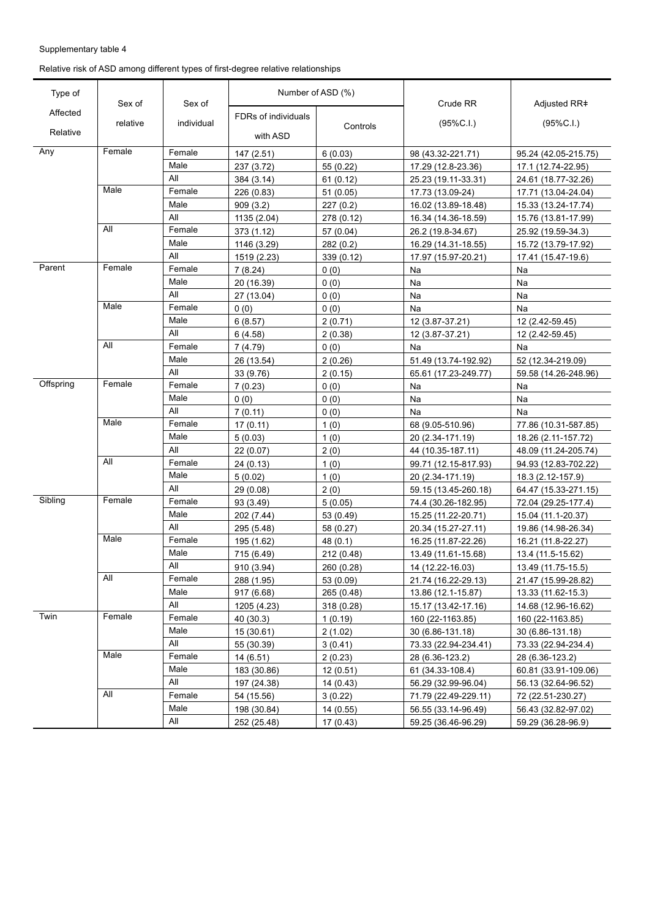Relative risk of ASD among different types of first-degree relative relationships

| Affected<br>FDRs of individuals<br>(95%C.1.)<br>(95%C.1.)<br>relative<br>individual<br>Controls<br>Relative<br>with ASD<br>Any<br>Female<br>Female<br>147 (2.51)<br>6(0.03)<br>98 (43.32-221.71)<br>95.24 (42.05-215.75)<br>Male<br>237 (3.72)<br>55 (0.22)<br>17.29 (12.8-23.36)<br>17.1 (12.74-22.95)<br>All<br>384 (3.14)<br>61(0.12)<br>25.23 (19.11-33.31)<br>24.61 (18.77-32.26)<br>Male<br>Female<br>226 (0.83)<br>51(0.05)<br>17.73 (13.09-24)<br>17.71 (13.04-24.04)<br>Male<br>909(3.2)<br>227(0.2)<br>16.02 (13.89-18.48)<br>15.33 (13.24-17.74)<br>All<br>1135 (2.04)<br>278 (0.12)<br>16.34 (14.36-18.59)<br>15.76 (13.81-17.99)<br>All<br>Female<br>373 (1.12)<br>57 (0.04)<br>26.2 (19.8-34.67)<br>25.92 (19.59-34.3)<br>Male<br>1146 (3.29)<br>282(0.2)<br>16.29 (14.31-18.55)<br>15.72 (13.79-17.92)<br>All<br>1519 (2.23)<br>339 $(0.12)$<br>17.97 (15.97-20.21)<br>17.41 (15.47-19.6)<br>Parent<br>Female<br>Female<br>7(8.24)<br>0(0)<br>Na<br>Na<br>Male<br>20 (16.39)<br>0(0)<br>Na<br>Na<br>All<br>27 (13.04)<br>0(0)<br>Na<br>Na<br>Male<br>Female<br>(0)<br>0(0)<br>Na<br>Na<br>Male<br>2(0.71)<br>6(8.57)<br>12 (3.87-37.21)<br>12 (2.42-59.45)<br>All<br>6(4.58)<br>2(0.38)<br>12 (3.87-37.21)<br>12 (2.42-59.45)<br>All<br>Female<br>7(4.79)<br>0(0)<br>Na<br>Na<br>Male<br>26 (13.54)<br>2(0.26)<br>51.49 (13.74-192.92)<br>52 (12.34-219.09)<br>All<br>33 (9.76)<br>2(0.15)<br>65.61 (17.23-249.77)<br>59.58 (14.26-248.96)<br>Offspring<br>Female<br>Female<br>7(0.23)<br>Na<br>0(0)<br>Na<br>Male<br>0(0)<br>0(0)<br>Na<br>Na<br>All<br>7(0.11)<br>0(0)<br>Na<br>Na<br>Male<br>Female<br>68 (9.05-510.96)<br>17(0.11)<br>1(0)<br>77.86 (10.31-587.85)<br>Male<br>5(0.03)<br>1(0)<br>20 (2.34-171.19)<br>18.26 (2.11-157.72)<br>All<br>22(0.07)<br>2(0)<br>44 (10.35-187.11)<br>48.09 (11.24-205.74)<br>All<br>Female<br>24(0.13)<br>1(0)<br>99.71 (12.15-817.93)<br>94.93 (12.83-702.22)<br>Male<br>5(0.02)<br>1(0)<br>20 (2.34-171.19)<br>18.3 (2.12-157.9)<br>All<br>2(0)<br>29 (0.08)<br>59.15 (13.45-260.18)<br>64.47 (15.33-271.15)<br>Sibling<br>Female<br>Female<br>93 (3.49)<br>5(0.05)<br>74.4 (30.26-182.95)<br>72.04 (29.25-177.4)<br>Male<br>202 (7.44)<br>53 (0.49)<br>15.25 (11.22-20.71)<br>15.04 (11.1-20.37)<br>All<br>295 (5.48)<br>58 (0.27)<br>20.34 (15.27-27.11)<br>19.86 (14.98-26.34)<br>Male<br>Female<br>195 (1.62)<br>48(0.1)<br>16.25 (11.87-22.26)<br>16.21 (11.8-22.27)<br>Male<br>715 (6.49)<br>212 (0.48)<br>13.49 (11.61-15.68)<br>13.4 (11.5-15.62)<br>All<br>910 (3.94)<br>260 (0.28)<br>14 (12.22-16.03)<br>13.49 (11.75-15.5)<br>All<br>Female<br>288 (1.95)<br>53 (0.09)<br>21.74 (16.22-29.13)<br>21.47 (15.99-28.82)<br>Male<br>917 (6.68)<br>265 (0.48)<br>13.86 (12.1-15.87)<br>13.33 (11.62-15.3)<br>All<br>1205 (4.23)<br>318 (0.28)<br>15.17 (13.42-17.16)<br>14.68 (12.96-16.62)<br>Twin<br>Female<br>Female<br>40 (30.3)<br>1(0.19)<br>160 (22-1163.85)<br>160 (22-1163.85)<br>Male<br>15 (30.61)<br>2(1.02)<br>30 (6.86-131.18)<br>30 (6.86-131.18)<br>All<br>55 (30.39)<br>3(0.41)<br>73.33 (22.94-234.41)<br>73.33 (22.94-234.4)<br>Male<br>Female<br>14 (6.51)<br>2(0.23)<br>28 (6.36-123.2)<br>28 (6.36-123.2)<br>Male<br>183 (30.86)<br>12(0.51)<br>61 (34.33-108.4)<br>60.81 (33.91-109.06)<br>All<br>197 (24.38)<br>14 (0.43)<br>56.29 (32.99-96.04)<br>56.13 (32.64-96.52)<br>All<br>Female<br>54 (15.56)<br>3(0.22)<br>71.79 (22.49-229.11)<br>72 (22.51-230.27)<br>Male<br>198 (30.84)<br>14(0.55)<br>56.55 (33.14-96.49)<br>56.43 (32.82-97.02)<br>All<br>252 (25.48)<br>17 (0.43)<br>59.25 (36.46-96.29)<br>59.29 (36.28-96.9) | Type of | Sex of | Sex of | Number of ASD (%) |  | Crude RR | Adjusted RR# |
|----------------------------------------------------------------------------------------------------------------------------------------------------------------------------------------------------------------------------------------------------------------------------------------------------------------------------------------------------------------------------------------------------------------------------------------------------------------------------------------------------------------------------------------------------------------------------------------------------------------------------------------------------------------------------------------------------------------------------------------------------------------------------------------------------------------------------------------------------------------------------------------------------------------------------------------------------------------------------------------------------------------------------------------------------------------------------------------------------------------------------------------------------------------------------------------------------------------------------------------------------------------------------------------------------------------------------------------------------------------------------------------------------------------------------------------------------------------------------------------------------------------------------------------------------------------------------------------------------------------------------------------------------------------------------------------------------------------------------------------------------------------------------------------------------------------------------------------------------------------------------------------------------------------------------------------------------------------------------------------------------------------------------------------------------------------------------------------------------------------------------------------------------------------------------------------------------------------------------------------------------------------------------------------------------------------------------------------------------------------------------------------------------------------------------------------------------------------------------------------------------------------------------------------------------------------------------------------------------------------------------------------------------------------------------------------------------------------------------------------------------------------------------------------------------------------------------------------------------------------------------------------------------------------------------------------------------------------------------------------------------------------------------------------------------------------------------------------------------------------------------------------------------------------------------------------------------------------------------------------------------------------------------------------------------------------------------------------------------------------------------------------------------------------------------------------------------------------------------------------------------------------------------------------------------------------------------------------------------------------------------|---------|--------|--------|-------------------|--|----------|--------------|
|                                                                                                                                                                                                                                                                                                                                                                                                                                                                                                                                                                                                                                                                                                                                                                                                                                                                                                                                                                                                                                                                                                                                                                                                                                                                                                                                                                                                                                                                                                                                                                                                                                                                                                                                                                                                                                                                                                                                                                                                                                                                                                                                                                                                                                                                                                                                                                                                                                                                                                                                                                                                                                                                                                                                                                                                                                                                                                                                                                                                                                                                                                                                                                                                                                                                                                                                                                                                                                                                                                                                                                                                                            |         |        |        |                   |  |          |              |
|                                                                                                                                                                                                                                                                                                                                                                                                                                                                                                                                                                                                                                                                                                                                                                                                                                                                                                                                                                                                                                                                                                                                                                                                                                                                                                                                                                                                                                                                                                                                                                                                                                                                                                                                                                                                                                                                                                                                                                                                                                                                                                                                                                                                                                                                                                                                                                                                                                                                                                                                                                                                                                                                                                                                                                                                                                                                                                                                                                                                                                                                                                                                                                                                                                                                                                                                                                                                                                                                                                                                                                                                                            |         |        |        |                   |  |          |              |
|                                                                                                                                                                                                                                                                                                                                                                                                                                                                                                                                                                                                                                                                                                                                                                                                                                                                                                                                                                                                                                                                                                                                                                                                                                                                                                                                                                                                                                                                                                                                                                                                                                                                                                                                                                                                                                                                                                                                                                                                                                                                                                                                                                                                                                                                                                                                                                                                                                                                                                                                                                                                                                                                                                                                                                                                                                                                                                                                                                                                                                                                                                                                                                                                                                                                                                                                                                                                                                                                                                                                                                                                                            |         |        |        |                   |  |          |              |
|                                                                                                                                                                                                                                                                                                                                                                                                                                                                                                                                                                                                                                                                                                                                                                                                                                                                                                                                                                                                                                                                                                                                                                                                                                                                                                                                                                                                                                                                                                                                                                                                                                                                                                                                                                                                                                                                                                                                                                                                                                                                                                                                                                                                                                                                                                                                                                                                                                                                                                                                                                                                                                                                                                                                                                                                                                                                                                                                                                                                                                                                                                                                                                                                                                                                                                                                                                                                                                                                                                                                                                                                                            |         |        |        |                   |  |          |              |
|                                                                                                                                                                                                                                                                                                                                                                                                                                                                                                                                                                                                                                                                                                                                                                                                                                                                                                                                                                                                                                                                                                                                                                                                                                                                                                                                                                                                                                                                                                                                                                                                                                                                                                                                                                                                                                                                                                                                                                                                                                                                                                                                                                                                                                                                                                                                                                                                                                                                                                                                                                                                                                                                                                                                                                                                                                                                                                                                                                                                                                                                                                                                                                                                                                                                                                                                                                                                                                                                                                                                                                                                                            |         |        |        |                   |  |          |              |
|                                                                                                                                                                                                                                                                                                                                                                                                                                                                                                                                                                                                                                                                                                                                                                                                                                                                                                                                                                                                                                                                                                                                                                                                                                                                                                                                                                                                                                                                                                                                                                                                                                                                                                                                                                                                                                                                                                                                                                                                                                                                                                                                                                                                                                                                                                                                                                                                                                                                                                                                                                                                                                                                                                                                                                                                                                                                                                                                                                                                                                                                                                                                                                                                                                                                                                                                                                                                                                                                                                                                                                                                                            |         |        |        |                   |  |          |              |
|                                                                                                                                                                                                                                                                                                                                                                                                                                                                                                                                                                                                                                                                                                                                                                                                                                                                                                                                                                                                                                                                                                                                                                                                                                                                                                                                                                                                                                                                                                                                                                                                                                                                                                                                                                                                                                                                                                                                                                                                                                                                                                                                                                                                                                                                                                                                                                                                                                                                                                                                                                                                                                                                                                                                                                                                                                                                                                                                                                                                                                                                                                                                                                                                                                                                                                                                                                                                                                                                                                                                                                                                                            |         |        |        |                   |  |          |              |
|                                                                                                                                                                                                                                                                                                                                                                                                                                                                                                                                                                                                                                                                                                                                                                                                                                                                                                                                                                                                                                                                                                                                                                                                                                                                                                                                                                                                                                                                                                                                                                                                                                                                                                                                                                                                                                                                                                                                                                                                                                                                                                                                                                                                                                                                                                                                                                                                                                                                                                                                                                                                                                                                                                                                                                                                                                                                                                                                                                                                                                                                                                                                                                                                                                                                                                                                                                                                                                                                                                                                                                                                                            |         |        |        |                   |  |          |              |
|                                                                                                                                                                                                                                                                                                                                                                                                                                                                                                                                                                                                                                                                                                                                                                                                                                                                                                                                                                                                                                                                                                                                                                                                                                                                                                                                                                                                                                                                                                                                                                                                                                                                                                                                                                                                                                                                                                                                                                                                                                                                                                                                                                                                                                                                                                                                                                                                                                                                                                                                                                                                                                                                                                                                                                                                                                                                                                                                                                                                                                                                                                                                                                                                                                                                                                                                                                                                                                                                                                                                                                                                                            |         |        |        |                   |  |          |              |
|                                                                                                                                                                                                                                                                                                                                                                                                                                                                                                                                                                                                                                                                                                                                                                                                                                                                                                                                                                                                                                                                                                                                                                                                                                                                                                                                                                                                                                                                                                                                                                                                                                                                                                                                                                                                                                                                                                                                                                                                                                                                                                                                                                                                                                                                                                                                                                                                                                                                                                                                                                                                                                                                                                                                                                                                                                                                                                                                                                                                                                                                                                                                                                                                                                                                                                                                                                                                                                                                                                                                                                                                                            |         |        |        |                   |  |          |              |
|                                                                                                                                                                                                                                                                                                                                                                                                                                                                                                                                                                                                                                                                                                                                                                                                                                                                                                                                                                                                                                                                                                                                                                                                                                                                                                                                                                                                                                                                                                                                                                                                                                                                                                                                                                                                                                                                                                                                                                                                                                                                                                                                                                                                                                                                                                                                                                                                                                                                                                                                                                                                                                                                                                                                                                                                                                                                                                                                                                                                                                                                                                                                                                                                                                                                                                                                                                                                                                                                                                                                                                                                                            |         |        |        |                   |  |          |              |
|                                                                                                                                                                                                                                                                                                                                                                                                                                                                                                                                                                                                                                                                                                                                                                                                                                                                                                                                                                                                                                                                                                                                                                                                                                                                                                                                                                                                                                                                                                                                                                                                                                                                                                                                                                                                                                                                                                                                                                                                                                                                                                                                                                                                                                                                                                                                                                                                                                                                                                                                                                                                                                                                                                                                                                                                                                                                                                                                                                                                                                                                                                                                                                                                                                                                                                                                                                                                                                                                                                                                                                                                                            |         |        |        |                   |  |          |              |
|                                                                                                                                                                                                                                                                                                                                                                                                                                                                                                                                                                                                                                                                                                                                                                                                                                                                                                                                                                                                                                                                                                                                                                                                                                                                                                                                                                                                                                                                                                                                                                                                                                                                                                                                                                                                                                                                                                                                                                                                                                                                                                                                                                                                                                                                                                                                                                                                                                                                                                                                                                                                                                                                                                                                                                                                                                                                                                                                                                                                                                                                                                                                                                                                                                                                                                                                                                                                                                                                                                                                                                                                                            |         |        |        |                   |  |          |              |
|                                                                                                                                                                                                                                                                                                                                                                                                                                                                                                                                                                                                                                                                                                                                                                                                                                                                                                                                                                                                                                                                                                                                                                                                                                                                                                                                                                                                                                                                                                                                                                                                                                                                                                                                                                                                                                                                                                                                                                                                                                                                                                                                                                                                                                                                                                                                                                                                                                                                                                                                                                                                                                                                                                                                                                                                                                                                                                                                                                                                                                                                                                                                                                                                                                                                                                                                                                                                                                                                                                                                                                                                                            |         |        |        |                   |  |          |              |
|                                                                                                                                                                                                                                                                                                                                                                                                                                                                                                                                                                                                                                                                                                                                                                                                                                                                                                                                                                                                                                                                                                                                                                                                                                                                                                                                                                                                                                                                                                                                                                                                                                                                                                                                                                                                                                                                                                                                                                                                                                                                                                                                                                                                                                                                                                                                                                                                                                                                                                                                                                                                                                                                                                                                                                                                                                                                                                                                                                                                                                                                                                                                                                                                                                                                                                                                                                                                                                                                                                                                                                                                                            |         |        |        |                   |  |          |              |
|                                                                                                                                                                                                                                                                                                                                                                                                                                                                                                                                                                                                                                                                                                                                                                                                                                                                                                                                                                                                                                                                                                                                                                                                                                                                                                                                                                                                                                                                                                                                                                                                                                                                                                                                                                                                                                                                                                                                                                                                                                                                                                                                                                                                                                                                                                                                                                                                                                                                                                                                                                                                                                                                                                                                                                                                                                                                                                                                                                                                                                                                                                                                                                                                                                                                                                                                                                                                                                                                                                                                                                                                                            |         |        |        |                   |  |          |              |
|                                                                                                                                                                                                                                                                                                                                                                                                                                                                                                                                                                                                                                                                                                                                                                                                                                                                                                                                                                                                                                                                                                                                                                                                                                                                                                                                                                                                                                                                                                                                                                                                                                                                                                                                                                                                                                                                                                                                                                                                                                                                                                                                                                                                                                                                                                                                                                                                                                                                                                                                                                                                                                                                                                                                                                                                                                                                                                                                                                                                                                                                                                                                                                                                                                                                                                                                                                                                                                                                                                                                                                                                                            |         |        |        |                   |  |          |              |
|                                                                                                                                                                                                                                                                                                                                                                                                                                                                                                                                                                                                                                                                                                                                                                                                                                                                                                                                                                                                                                                                                                                                                                                                                                                                                                                                                                                                                                                                                                                                                                                                                                                                                                                                                                                                                                                                                                                                                                                                                                                                                                                                                                                                                                                                                                                                                                                                                                                                                                                                                                                                                                                                                                                                                                                                                                                                                                                                                                                                                                                                                                                                                                                                                                                                                                                                                                                                                                                                                                                                                                                                                            |         |        |        |                   |  |          |              |
|                                                                                                                                                                                                                                                                                                                                                                                                                                                                                                                                                                                                                                                                                                                                                                                                                                                                                                                                                                                                                                                                                                                                                                                                                                                                                                                                                                                                                                                                                                                                                                                                                                                                                                                                                                                                                                                                                                                                                                                                                                                                                                                                                                                                                                                                                                                                                                                                                                                                                                                                                                                                                                                                                                                                                                                                                                                                                                                                                                                                                                                                                                                                                                                                                                                                                                                                                                                                                                                                                                                                                                                                                            |         |        |        |                   |  |          |              |
|                                                                                                                                                                                                                                                                                                                                                                                                                                                                                                                                                                                                                                                                                                                                                                                                                                                                                                                                                                                                                                                                                                                                                                                                                                                                                                                                                                                                                                                                                                                                                                                                                                                                                                                                                                                                                                                                                                                                                                                                                                                                                                                                                                                                                                                                                                                                                                                                                                                                                                                                                                                                                                                                                                                                                                                                                                                                                                                                                                                                                                                                                                                                                                                                                                                                                                                                                                                                                                                                                                                                                                                                                            |         |        |        |                   |  |          |              |
|                                                                                                                                                                                                                                                                                                                                                                                                                                                                                                                                                                                                                                                                                                                                                                                                                                                                                                                                                                                                                                                                                                                                                                                                                                                                                                                                                                                                                                                                                                                                                                                                                                                                                                                                                                                                                                                                                                                                                                                                                                                                                                                                                                                                                                                                                                                                                                                                                                                                                                                                                                                                                                                                                                                                                                                                                                                                                                                                                                                                                                                                                                                                                                                                                                                                                                                                                                                                                                                                                                                                                                                                                            |         |        |        |                   |  |          |              |
|                                                                                                                                                                                                                                                                                                                                                                                                                                                                                                                                                                                                                                                                                                                                                                                                                                                                                                                                                                                                                                                                                                                                                                                                                                                                                                                                                                                                                                                                                                                                                                                                                                                                                                                                                                                                                                                                                                                                                                                                                                                                                                                                                                                                                                                                                                                                                                                                                                                                                                                                                                                                                                                                                                                                                                                                                                                                                                                                                                                                                                                                                                                                                                                                                                                                                                                                                                                                                                                                                                                                                                                                                            |         |        |        |                   |  |          |              |
|                                                                                                                                                                                                                                                                                                                                                                                                                                                                                                                                                                                                                                                                                                                                                                                                                                                                                                                                                                                                                                                                                                                                                                                                                                                                                                                                                                                                                                                                                                                                                                                                                                                                                                                                                                                                                                                                                                                                                                                                                                                                                                                                                                                                                                                                                                                                                                                                                                                                                                                                                                                                                                                                                                                                                                                                                                                                                                                                                                                                                                                                                                                                                                                                                                                                                                                                                                                                                                                                                                                                                                                                                            |         |        |        |                   |  |          |              |
|                                                                                                                                                                                                                                                                                                                                                                                                                                                                                                                                                                                                                                                                                                                                                                                                                                                                                                                                                                                                                                                                                                                                                                                                                                                                                                                                                                                                                                                                                                                                                                                                                                                                                                                                                                                                                                                                                                                                                                                                                                                                                                                                                                                                                                                                                                                                                                                                                                                                                                                                                                                                                                                                                                                                                                                                                                                                                                                                                                                                                                                                                                                                                                                                                                                                                                                                                                                                                                                                                                                                                                                                                            |         |        |        |                   |  |          |              |
|                                                                                                                                                                                                                                                                                                                                                                                                                                                                                                                                                                                                                                                                                                                                                                                                                                                                                                                                                                                                                                                                                                                                                                                                                                                                                                                                                                                                                                                                                                                                                                                                                                                                                                                                                                                                                                                                                                                                                                                                                                                                                                                                                                                                                                                                                                                                                                                                                                                                                                                                                                                                                                                                                                                                                                                                                                                                                                                                                                                                                                                                                                                                                                                                                                                                                                                                                                                                                                                                                                                                                                                                                            |         |        |        |                   |  |          |              |
|                                                                                                                                                                                                                                                                                                                                                                                                                                                                                                                                                                                                                                                                                                                                                                                                                                                                                                                                                                                                                                                                                                                                                                                                                                                                                                                                                                                                                                                                                                                                                                                                                                                                                                                                                                                                                                                                                                                                                                                                                                                                                                                                                                                                                                                                                                                                                                                                                                                                                                                                                                                                                                                                                                                                                                                                                                                                                                                                                                                                                                                                                                                                                                                                                                                                                                                                                                                                                                                                                                                                                                                                                            |         |        |        |                   |  |          |              |
|                                                                                                                                                                                                                                                                                                                                                                                                                                                                                                                                                                                                                                                                                                                                                                                                                                                                                                                                                                                                                                                                                                                                                                                                                                                                                                                                                                                                                                                                                                                                                                                                                                                                                                                                                                                                                                                                                                                                                                                                                                                                                                                                                                                                                                                                                                                                                                                                                                                                                                                                                                                                                                                                                                                                                                                                                                                                                                                                                                                                                                                                                                                                                                                                                                                                                                                                                                                                                                                                                                                                                                                                                            |         |        |        |                   |  |          |              |
|                                                                                                                                                                                                                                                                                                                                                                                                                                                                                                                                                                                                                                                                                                                                                                                                                                                                                                                                                                                                                                                                                                                                                                                                                                                                                                                                                                                                                                                                                                                                                                                                                                                                                                                                                                                                                                                                                                                                                                                                                                                                                                                                                                                                                                                                                                                                                                                                                                                                                                                                                                                                                                                                                                                                                                                                                                                                                                                                                                                                                                                                                                                                                                                                                                                                                                                                                                                                                                                                                                                                                                                                                            |         |        |        |                   |  |          |              |
|                                                                                                                                                                                                                                                                                                                                                                                                                                                                                                                                                                                                                                                                                                                                                                                                                                                                                                                                                                                                                                                                                                                                                                                                                                                                                                                                                                                                                                                                                                                                                                                                                                                                                                                                                                                                                                                                                                                                                                                                                                                                                                                                                                                                                                                                                                                                                                                                                                                                                                                                                                                                                                                                                                                                                                                                                                                                                                                                                                                                                                                                                                                                                                                                                                                                                                                                                                                                                                                                                                                                                                                                                            |         |        |        |                   |  |          |              |
|                                                                                                                                                                                                                                                                                                                                                                                                                                                                                                                                                                                                                                                                                                                                                                                                                                                                                                                                                                                                                                                                                                                                                                                                                                                                                                                                                                                                                                                                                                                                                                                                                                                                                                                                                                                                                                                                                                                                                                                                                                                                                                                                                                                                                                                                                                                                                                                                                                                                                                                                                                                                                                                                                                                                                                                                                                                                                                                                                                                                                                                                                                                                                                                                                                                                                                                                                                                                                                                                                                                                                                                                                            |         |        |        |                   |  |          |              |
|                                                                                                                                                                                                                                                                                                                                                                                                                                                                                                                                                                                                                                                                                                                                                                                                                                                                                                                                                                                                                                                                                                                                                                                                                                                                                                                                                                                                                                                                                                                                                                                                                                                                                                                                                                                                                                                                                                                                                                                                                                                                                                                                                                                                                                                                                                                                                                                                                                                                                                                                                                                                                                                                                                                                                                                                                                                                                                                                                                                                                                                                                                                                                                                                                                                                                                                                                                                                                                                                                                                                                                                                                            |         |        |        |                   |  |          |              |
|                                                                                                                                                                                                                                                                                                                                                                                                                                                                                                                                                                                                                                                                                                                                                                                                                                                                                                                                                                                                                                                                                                                                                                                                                                                                                                                                                                                                                                                                                                                                                                                                                                                                                                                                                                                                                                                                                                                                                                                                                                                                                                                                                                                                                                                                                                                                                                                                                                                                                                                                                                                                                                                                                                                                                                                                                                                                                                                                                                                                                                                                                                                                                                                                                                                                                                                                                                                                                                                                                                                                                                                                                            |         |        |        |                   |  |          |              |
|                                                                                                                                                                                                                                                                                                                                                                                                                                                                                                                                                                                                                                                                                                                                                                                                                                                                                                                                                                                                                                                                                                                                                                                                                                                                                                                                                                                                                                                                                                                                                                                                                                                                                                                                                                                                                                                                                                                                                                                                                                                                                                                                                                                                                                                                                                                                                                                                                                                                                                                                                                                                                                                                                                                                                                                                                                                                                                                                                                                                                                                                                                                                                                                                                                                                                                                                                                                                                                                                                                                                                                                                                            |         |        |        |                   |  |          |              |
|                                                                                                                                                                                                                                                                                                                                                                                                                                                                                                                                                                                                                                                                                                                                                                                                                                                                                                                                                                                                                                                                                                                                                                                                                                                                                                                                                                                                                                                                                                                                                                                                                                                                                                                                                                                                                                                                                                                                                                                                                                                                                                                                                                                                                                                                                                                                                                                                                                                                                                                                                                                                                                                                                                                                                                                                                                                                                                                                                                                                                                                                                                                                                                                                                                                                                                                                                                                                                                                                                                                                                                                                                            |         |        |        |                   |  |          |              |
|                                                                                                                                                                                                                                                                                                                                                                                                                                                                                                                                                                                                                                                                                                                                                                                                                                                                                                                                                                                                                                                                                                                                                                                                                                                                                                                                                                                                                                                                                                                                                                                                                                                                                                                                                                                                                                                                                                                                                                                                                                                                                                                                                                                                                                                                                                                                                                                                                                                                                                                                                                                                                                                                                                                                                                                                                                                                                                                                                                                                                                                                                                                                                                                                                                                                                                                                                                                                                                                                                                                                                                                                                            |         |        |        |                   |  |          |              |
|                                                                                                                                                                                                                                                                                                                                                                                                                                                                                                                                                                                                                                                                                                                                                                                                                                                                                                                                                                                                                                                                                                                                                                                                                                                                                                                                                                                                                                                                                                                                                                                                                                                                                                                                                                                                                                                                                                                                                                                                                                                                                                                                                                                                                                                                                                                                                                                                                                                                                                                                                                                                                                                                                                                                                                                                                                                                                                                                                                                                                                                                                                                                                                                                                                                                                                                                                                                                                                                                                                                                                                                                                            |         |        |        |                   |  |          |              |
|                                                                                                                                                                                                                                                                                                                                                                                                                                                                                                                                                                                                                                                                                                                                                                                                                                                                                                                                                                                                                                                                                                                                                                                                                                                                                                                                                                                                                                                                                                                                                                                                                                                                                                                                                                                                                                                                                                                                                                                                                                                                                                                                                                                                                                                                                                                                                                                                                                                                                                                                                                                                                                                                                                                                                                                                                                                                                                                                                                                                                                                                                                                                                                                                                                                                                                                                                                                                                                                                                                                                                                                                                            |         |        |        |                   |  |          |              |
|                                                                                                                                                                                                                                                                                                                                                                                                                                                                                                                                                                                                                                                                                                                                                                                                                                                                                                                                                                                                                                                                                                                                                                                                                                                                                                                                                                                                                                                                                                                                                                                                                                                                                                                                                                                                                                                                                                                                                                                                                                                                                                                                                                                                                                                                                                                                                                                                                                                                                                                                                                                                                                                                                                                                                                                                                                                                                                                                                                                                                                                                                                                                                                                                                                                                                                                                                                                                                                                                                                                                                                                                                            |         |        |        |                   |  |          |              |
|                                                                                                                                                                                                                                                                                                                                                                                                                                                                                                                                                                                                                                                                                                                                                                                                                                                                                                                                                                                                                                                                                                                                                                                                                                                                                                                                                                                                                                                                                                                                                                                                                                                                                                                                                                                                                                                                                                                                                                                                                                                                                                                                                                                                                                                                                                                                                                                                                                                                                                                                                                                                                                                                                                                                                                                                                                                                                                                                                                                                                                                                                                                                                                                                                                                                                                                                                                                                                                                                                                                                                                                                                            |         |        |        |                   |  |          |              |
|                                                                                                                                                                                                                                                                                                                                                                                                                                                                                                                                                                                                                                                                                                                                                                                                                                                                                                                                                                                                                                                                                                                                                                                                                                                                                                                                                                                                                                                                                                                                                                                                                                                                                                                                                                                                                                                                                                                                                                                                                                                                                                                                                                                                                                                                                                                                                                                                                                                                                                                                                                                                                                                                                                                                                                                                                                                                                                                                                                                                                                                                                                                                                                                                                                                                                                                                                                                                                                                                                                                                                                                                                            |         |        |        |                   |  |          |              |
|                                                                                                                                                                                                                                                                                                                                                                                                                                                                                                                                                                                                                                                                                                                                                                                                                                                                                                                                                                                                                                                                                                                                                                                                                                                                                                                                                                                                                                                                                                                                                                                                                                                                                                                                                                                                                                                                                                                                                                                                                                                                                                                                                                                                                                                                                                                                                                                                                                                                                                                                                                                                                                                                                                                                                                                                                                                                                                                                                                                                                                                                                                                                                                                                                                                                                                                                                                                                                                                                                                                                                                                                                            |         |        |        |                   |  |          |              |
|                                                                                                                                                                                                                                                                                                                                                                                                                                                                                                                                                                                                                                                                                                                                                                                                                                                                                                                                                                                                                                                                                                                                                                                                                                                                                                                                                                                                                                                                                                                                                                                                                                                                                                                                                                                                                                                                                                                                                                                                                                                                                                                                                                                                                                                                                                                                                                                                                                                                                                                                                                                                                                                                                                                                                                                                                                                                                                                                                                                                                                                                                                                                                                                                                                                                                                                                                                                                                                                                                                                                                                                                                            |         |        |        |                   |  |          |              |
|                                                                                                                                                                                                                                                                                                                                                                                                                                                                                                                                                                                                                                                                                                                                                                                                                                                                                                                                                                                                                                                                                                                                                                                                                                                                                                                                                                                                                                                                                                                                                                                                                                                                                                                                                                                                                                                                                                                                                                                                                                                                                                                                                                                                                                                                                                                                                                                                                                                                                                                                                                                                                                                                                                                                                                                                                                                                                                                                                                                                                                                                                                                                                                                                                                                                                                                                                                                                                                                                                                                                                                                                                            |         |        |        |                   |  |          |              |
|                                                                                                                                                                                                                                                                                                                                                                                                                                                                                                                                                                                                                                                                                                                                                                                                                                                                                                                                                                                                                                                                                                                                                                                                                                                                                                                                                                                                                                                                                                                                                                                                                                                                                                                                                                                                                                                                                                                                                                                                                                                                                                                                                                                                                                                                                                                                                                                                                                                                                                                                                                                                                                                                                                                                                                                                                                                                                                                                                                                                                                                                                                                                                                                                                                                                                                                                                                                                                                                                                                                                                                                                                            |         |        |        |                   |  |          |              |
|                                                                                                                                                                                                                                                                                                                                                                                                                                                                                                                                                                                                                                                                                                                                                                                                                                                                                                                                                                                                                                                                                                                                                                                                                                                                                                                                                                                                                                                                                                                                                                                                                                                                                                                                                                                                                                                                                                                                                                                                                                                                                                                                                                                                                                                                                                                                                                                                                                                                                                                                                                                                                                                                                                                                                                                                                                                                                                                                                                                                                                                                                                                                                                                                                                                                                                                                                                                                                                                                                                                                                                                                                            |         |        |        |                   |  |          |              |
|                                                                                                                                                                                                                                                                                                                                                                                                                                                                                                                                                                                                                                                                                                                                                                                                                                                                                                                                                                                                                                                                                                                                                                                                                                                                                                                                                                                                                                                                                                                                                                                                                                                                                                                                                                                                                                                                                                                                                                                                                                                                                                                                                                                                                                                                                                                                                                                                                                                                                                                                                                                                                                                                                                                                                                                                                                                                                                                                                                                                                                                                                                                                                                                                                                                                                                                                                                                                                                                                                                                                                                                                                            |         |        |        |                   |  |          |              |
|                                                                                                                                                                                                                                                                                                                                                                                                                                                                                                                                                                                                                                                                                                                                                                                                                                                                                                                                                                                                                                                                                                                                                                                                                                                                                                                                                                                                                                                                                                                                                                                                                                                                                                                                                                                                                                                                                                                                                                                                                                                                                                                                                                                                                                                                                                                                                                                                                                                                                                                                                                                                                                                                                                                                                                                                                                                                                                                                                                                                                                                                                                                                                                                                                                                                                                                                                                                                                                                                                                                                                                                                                            |         |        |        |                   |  |          |              |